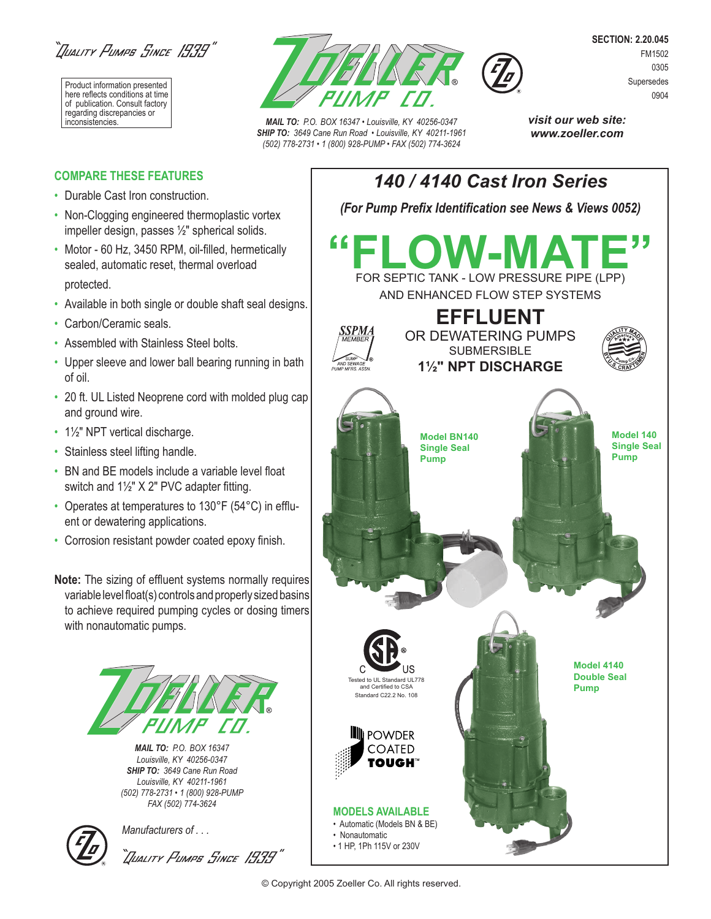"Iliality Fumps Since 1939"

Product information presented here reflects conditions at time of publication. Consult factory regarding discrepancies or<br>inconsistencies.



**MAIL TO:** P.O. BOX 16347 • Louisville, KY 40256-0347 *SHIP TO: 3649 Cane Run Road • Louisville, KY 40211-1961 (502) 778-2731 • 1 (800) 928-PUMP • FAX (502) 774-3624*

**SECTION: 2.20.045** FM1502 0305 Supersedes 0904

**COMPARE THESE FEATURES** 

- Durable Cast Iron construction.
- Non-Clogging engineered thermoplastic vortex impeller design, passes ½" spherical solids.
- Motor 60 Hz, 3450 RPM, oil-filled, hermetically sealed, automatic reset, thermal overload protected.
- Available in both single or double shaft seal designs.
- Carbon/Ceramic seals.
- Assembled with Stainless Steel bolts.
- Upper sleeve and lower ball bearing running in bath of oil.
- 20 ft. UL Listed Neoprene cord with molded plug cap and ground wire.
- 1½" NPT vertical discharge.
- Stainless steel lifting handle.
- BN and BE models include a variable level float switch and  $1\frac{1}{2}$ " X 2" PVC adapter fitting.
- Operates at temperatures to 130°F (54°C) in effluent or dewatering applications.
- Corrosion resistant powder coated epoxy finish.

**Note:** The sizing of effluent systems normally requires variable level float(s) controls and properly sized basins to achieve required pumping cycles or dosing timers with nonautomatic pumps.



*MAIL TO: P.O. BOX 16347 Louisville, KY 40256-0347 SHIP TO: 3649 Cane Run Road Louisville, KY 40211-1961 (502) 778-2731 • 1 (800) 928-PUMP FAX (502) 774-3624*



*Manufacturers of . . .* 

"JUALITY PUMPS SINCE 1939"

**visit our web site: www.zoeller.com**



<sup>©</sup> Copyright 2005 Zoeller Co. All rights reserved.